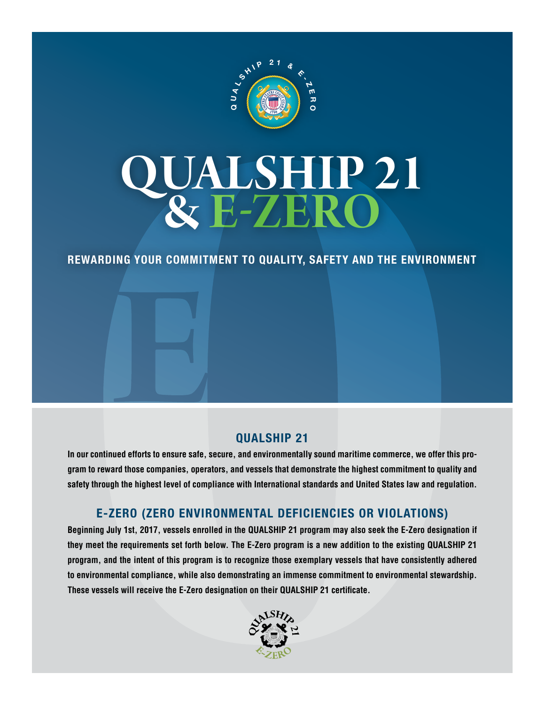

# **QUALSHIP 21<br>& E-ZERO**

**Rewarding Your Commitment to Quality, Safety and the Environment**

## **QUALSHIP 21**

**In our continued efforts to ensure safe, secure, and environmentally sound maritime commerce, we offer this program to reward those companies, operators, and vessels that demonstrate the highest commitment to quality and safety through the highest level of compliance with International standards and United States law and regulation.**

## **E-Zero (Zero Environmental Deficiencies or Violations)**

**Beginning July 1st, 2017, vessels enrolled in the QUALSHIP 21 program may also seek the E-Zero designation if they meet the requirements set forth below. The E-Zero program is a new addition to the existing QUALSHIP 21 program, and the intent of this program is to recognize those exemplary vessels that have consistently adhered to environmental compliance, while also demonstrating an immense commitment to environmental stewardship. These vessels will receive the E-Zero designation on their QUALSHIP 21 certificate.** 

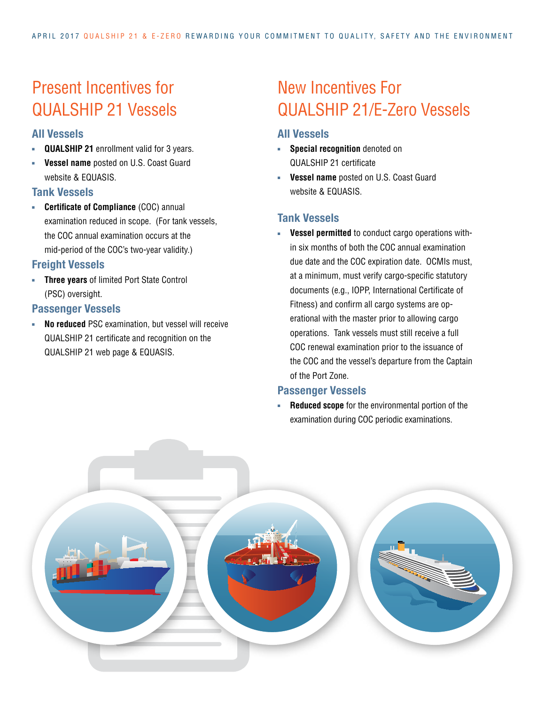## Present Incentives for QUALSHIP 21 Vessels

## **All Vessels**

- **QUALSHIP 21** enrollment valid for 3 years.
- **Vessel name** posted on U.S. Coast Guard website & FOUASIS

#### **Tank Vessels**

**EXECTE: Certificate of Compliance** (COC) annual examination reduced in scope. (For tank vessels, the COC annual examination occurs at the mid-period of the COC's two-year validity.)

## **Freight Vessels**

**Fig. 7** Three years of limited Port State Control (PSC) oversight.

#### **Passenger Vessels**

**No reduced** PSC examination, but vessel will receive QUALSHIP 21 certificate and recognition on the QUALSHIP 21 web page & EQUASIS.

## New Incentives For QUALSHIP 21/E-Zero Vessels

## **All Vessels**

- **Fig. 3** Special recognition denoted on QUALSHIP 21 certificate
- **vessel name** posted on U.S. Coast Guard website & EQUASIS.

## **Tank Vessels**

**EXECTE:** Vessel permitted to conduct cargo operations within six months of both the COC annual examination due date and the COC expiration date. OCMIs must, at a minimum, must verify cargo-specific statutory documents (e.g., IOPP, International Certificate of Fitness) and confirm all cargo systems are operational with the master prior to allowing cargo operations. Tank vessels must still receive a full COC renewal examination prior to the issuance of the COC and the vessel's departure from the Captain of the Port Zone.

#### **Passenger Vessels**

**Reduced scope** for the environmental portion of the examination during COC periodic examinations.

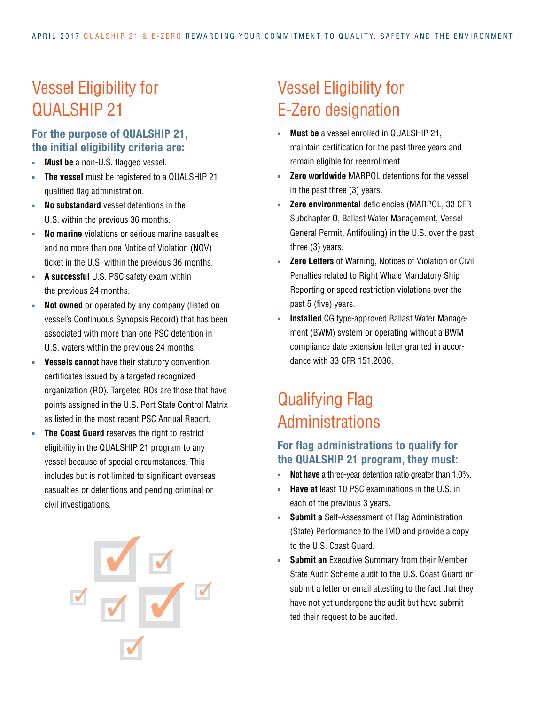# Vessel Eligibility for QUALSHIP 21

## **For the purpose of QUALSHIP 21, the initial eligibility criteria are:**

- **Nust be** a non-U.S. flagged vessel.
- The vessel must be registered to a QUALSHIP 21 qualified flag administration.
- **No substandard** vessel detentions in the U.S. within the previous 36 months.
- **No marine** violations or serious marine casualties and no more than one Notice of Violation (NOV) ticket in the U.S. within the previous 36 months.
- **A successful** U.S. PSC safety exam within the previous 24 months.
- **Not owned** or operated by any company (listed on vessel's Continuous Synopsis Record) that has been associated with more than one PSC detention in U.S. waters within the previous 24 months.
- **Vessels cannot** have their statutory convention certificates issued by a targeted recognized organization (RO). Targeted ROs are those that have points assigned in the U.S. Port State Control Matrix as listed in the most recent PSC Annual Report.
- **Fig. 3** The Coast Guard reserves the right to restrict eligibility in the QUALSHIP 21 program to any vessel because of special circumstances. This includes but is not limited to significant overseas casualties or detentions and pending criminal or civil investigations.



# Vessel Eligibility for E-Zero designation

- **Must be** a vessel enrolled in QUALSHIP 21, maintain certification for the past three years and remain eligible for reenrollment.
- **Zero worldwide** MARPOL detentions for the vessel in the past three (3) years.
- **Zero environmental deficiencies (MARPOL, 33 CFR** Subchapter O, Ballast Water Management, Vessel General Permit, Antifouling) in the U.S. over the past three (3) years.
- **EXEX 2 Exero Letters** of Warning, Notices of Violation or Civil Penalties related to Right Whale Mandatory Ship Reporting or speed restriction violations over the past 5 (five) years.
- **Installed** CG type-approved Ballast Water Management (BWM) system or operating without a BWM compliance date extension letter granted in accordance with 33 CFR 151.2036.

## Qualifying Flag Administrations

## **For flag administrations to qualify for the QUALSHIP 21 program, they must:**

- **Not have** a three-year detention ratio greater than 1.0%.
- <sup>n</sup> **Have at** least 10 PSC examinations in the U.S. in each of the previous 3 years.
- **Submit a** Self-Assessment of Flag Administration (State) Performance to the IMO and provide a copy to the U.S. Coast Guard.
- **Submit an** Executive Summary from their Member State Audit Scheme audit to the U.S. Coast Guard or submit a letter or email attesting to the fact that they have not yet undergone the audit but have submitted their request to be audited.